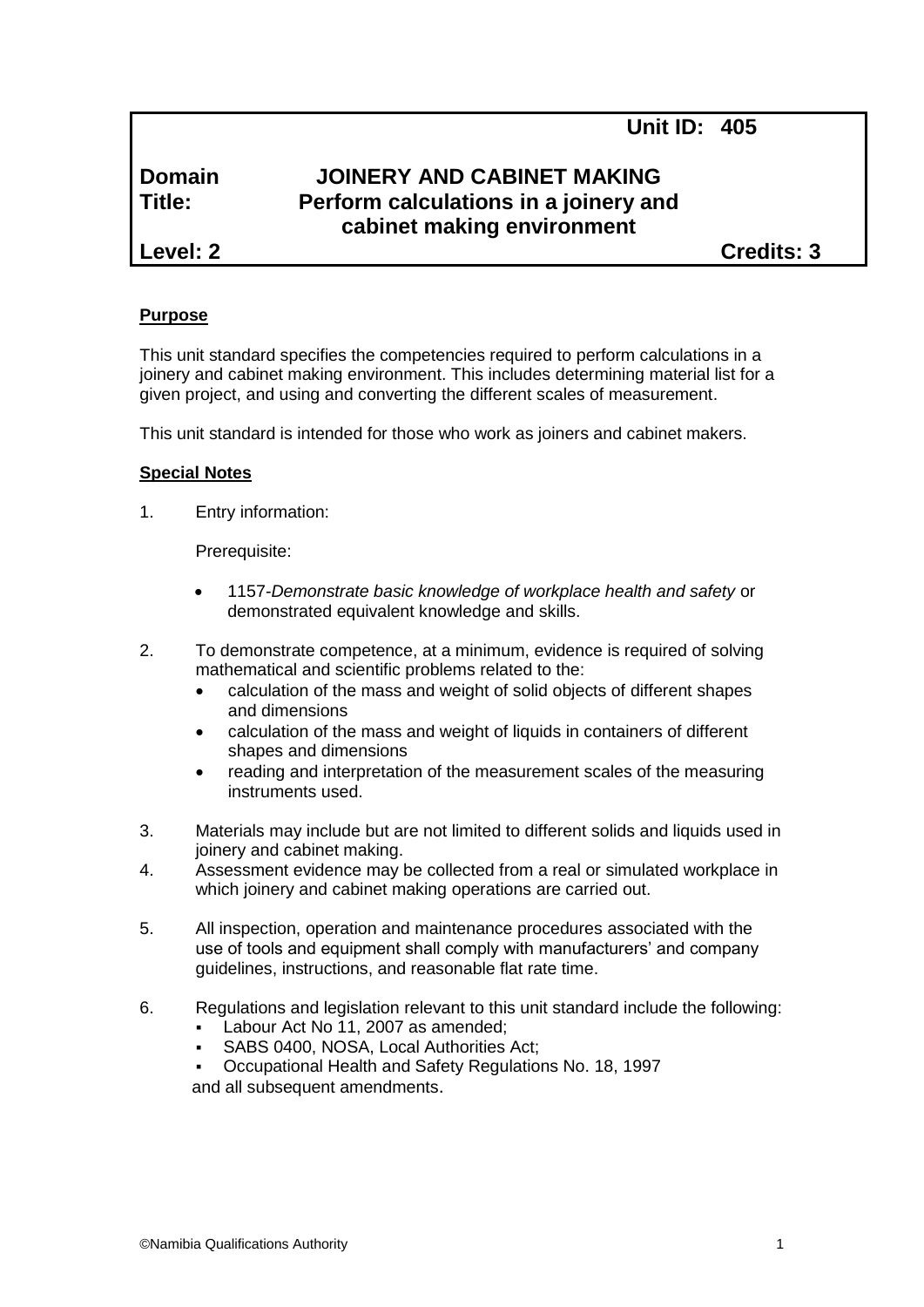**Unit ID: 405**

# **Domain JOINERY AND CABINET MAKING Title: Perform calculations in a joinery and cabinet making environment**

**Level: 2 Credits: 3**

## **Purpose**

This unit standard specifies the competencies required to perform calculations in a joinery and cabinet making environment. This includes determining material list for a given project, and using and converting the different scales of measurement.

This unit standard is intended for those who work as joiners and cabinet makers.

### **Special Notes**

1. Entry information:

Prerequisite:

- 1157*-Demonstrate basic knowledge of workplace health and safety* or demonstrated equivalent knowledge and skills.
- 2. To demonstrate competence, at a minimum, evidence is required of solving mathematical and scientific problems related to the:
	- calculation of the mass and weight of solid objects of different shapes and dimensions
	- calculation of the mass and weight of liquids in containers of different shapes and dimensions
	- reading and interpretation of the measurement scales of the measuring instruments used.
- 3. Materials may include but are not limited to different solids and liquids used in joinery and cabinet making.
- 4. Assessment evidence may be collected from a real or simulated workplace in which joinery and cabinet making operations are carried out.
- 5. All inspection, operation and maintenance procedures associated with the use of tools and equipment shall comply with manufacturers' and company guidelines, instructions, and reasonable flat rate time.
- 6. Regulations and legislation relevant to this unit standard include the following:
	- Labour Act No 11, 2007 as amended;
	- SABS 0400, NOSA, Local Authorities Act;
	- Occupational Health and Safety Regulations No. 18, 1997 and all subsequent amendments.